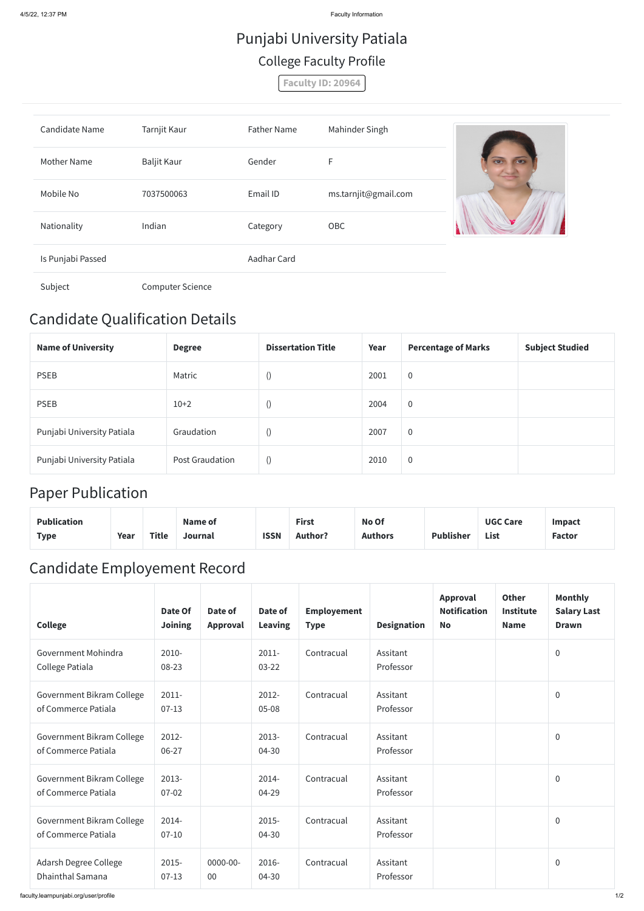4/5/22, 12:37 PM Faculty Information

## Candidate Qualification Details

| <b>Name of University</b>  | <b>Degree</b>          | <b>Dissertation Title</b> | Year | <b>Percentage of Marks</b> | <b>Subject Studied</b> |
|----------------------------|------------------------|---------------------------|------|----------------------------|------------------------|
| <b>PSEB</b>                | Matric                 | $\cup$                    | 2001 | $\overline{0}$             |                        |
| <b>PSEB</b>                | $10+2$                 | $\cup$                    | 2004 | $\overline{0}$             |                        |
| Punjabi University Patiala | Graudation             |                           | 2007 | $\overline{0}$             |                        |
| Punjabi University Patiala | <b>Post Graudation</b> |                           | 2010 | $\overline{0}$             |                        |

## Paper Publication

| <b>Publication</b> |      |       | Name of |             | <b>First</b>   | No Of          |                  | <b>UGC Care</b> | <b>Impact</b> |
|--------------------|------|-------|---------|-------------|----------------|----------------|------------------|-----------------|---------------|
| Type               | Year | Title | Journal | <b>ISSN</b> | <b>Author?</b> | <b>Authors</b> | <b>Publisher</b> | List            | <b>Factor</b> |

## Candidate Employement Record

| <b>College</b>                                   | Date Of<br><b>Joining</b> | Date of<br>Approval | Date of<br><b>Leaving</b> | <b>Employement</b><br><b>Type</b> | <b>Designation</b>    | Approval<br><b>Notification</b><br><b>No</b> | <b>Other</b><br><b>Institute</b><br><b>Name</b> | <b>Monthly</b><br><b>Salary Last</b><br><b>Drawn</b> |
|--------------------------------------------------|---------------------------|---------------------|---------------------------|-----------------------------------|-----------------------|----------------------------------------------|-------------------------------------------------|------------------------------------------------------|
| Government Mohindra<br>College Patiala           | $2010 -$<br>08-23         |                     | $2011 -$<br>$03 - 22$     | Contracual                        | Assitant<br>Professor |                                              |                                                 | $\mathbf 0$                                          |
| Government Bikram College<br>of Commerce Patiala | $2011 -$<br>$07-13$       |                     | 2012-<br>$05 - 08$        | Contracual                        | Assitant<br>Professor |                                              |                                                 | $\overline{0}$                                       |
| Government Bikram College<br>of Commerce Patiala | 2012-<br>06-27            |                     | 2013-<br>04-30            | Contracual                        | Assitant<br>Professor |                                              |                                                 | $\mathbf 0$                                          |
| Government Bikram College<br>of Commerce Patiala | $2013 -$<br>$07 - 02$     |                     | 2014-<br>04-29            | Contracual                        | Assitant<br>Professor |                                              |                                                 | $\pmb{0}$                                            |
| Government Bikram College<br>of Commerce Patiala | 2014-<br>$07 - 10$        |                     | $2015 -$<br>04-30         | Contracual                        | Assitant<br>Professor |                                              |                                                 | $\overline{0}$                                       |
| Adarsh Degree College<br><b>Dhainthal Samana</b> | 2015-<br>$07-13$          | $0000 - 00 -$<br>00 | 2016-<br>04-30            | Contracual                        | Assitant<br>Professor |                                              |                                                 | $\mathbf 0$                                          |

# Punjabi University Patiala College Faculty Profile

**Faculty ID: 20964**

| <b>Candidate Name</b> | Tarnjit Kaur            | <b>Father Name</b> | Mahinder Singh       |                |
|-----------------------|-------------------------|--------------------|----------------------|----------------|
| <b>Mother Name</b>    | Baljit Kaur             | Gender             | F                    | $\overline{w}$ |
| Mobile No             | 7037500063              | Email ID           | ms.tarnjit@gmail.com |                |
| Nationality           | Indian                  | Category           | OBC                  |                |
| Is Punjabi Passed     |                         | Aadhar Card        |                      |                |
| Subject               | <b>Computer Science</b> |                    |                      |                |